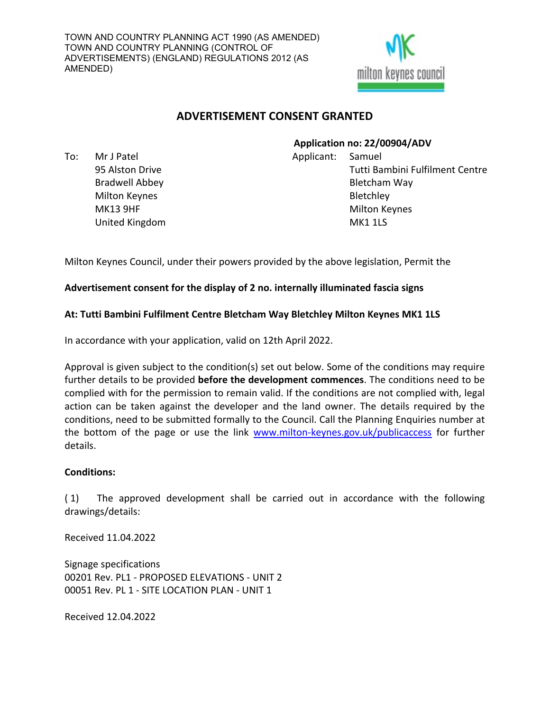

# **ADVERTISEMENT CONSENT GRANTED**

To: Mr J Patel 95 Alston Drive Bradwell Abbey Milton Keynes MK13 9HF United Kingdom

#### **Application no: 22/00904/ADV**

Applicant: Samuel Tutti Bambini Fulfilment Centre Bletcham Way **Bletchley** Milton Keynes MK1 1LS

Milton Keynes Council, under their powers provided by the above legislation, Permit the

## **Advertisement consent for the display of 2 no. internally illuminated fascia signs**

## **At: Tutti Bambini Fulfilment Centre Bletcham Way Bletchley Milton Keynes MK1 1LS**

In accordance with your application, valid on 12th April 2022.

Approval is given subject to the condition(s) set out below. Some of the conditions may require further details to be provided **before the development commences**. The conditions need to be complied with for the permission to remain valid. If the conditions are not complied with, legal action can be taken against the developer and the land owner. The details required by the conditions, need to be submitted formally to the Council. Call the Planning Enquiries number at the bottom of the page or use the link [www.milton-keynes.gov.uk/publicaccess](../../../../../USERS/ENV_03/GHARDY/uniform/temp/www.milton-keynes.gov.uk/publicaccess) for further details.

#### **Conditions:**

( 1) The approved development shall be carried out in accordance with the following drawings/details:

Received 11.04.2022

Signage specifications 00201 Rev. PL1 - PROPOSED ELEVATIONS - UNIT 2 00051 Rev. PL 1 - SITE LOCATION PLAN - UNIT 1

Received 12.04.2022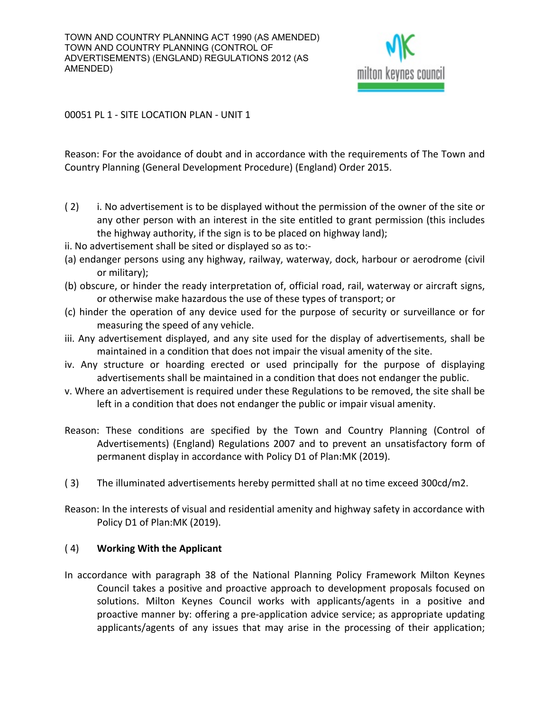

00051 PL 1 - SITE LOCATION PLAN - UNIT 1

Reason: For the avoidance of doubt and in accordance with the requirements of The Town and Country Planning (General Development Procedure) (England) Order 2015.

- (2) i. No advertisement is to be displayed without the permission of the owner of the site or any other person with an interest in the site entitled to grant permission (this includes the highway authority, if the sign is to be placed on highway land);
- ii. No advertisement shall be sited or displayed so as to:-
- (a) endanger persons using any highway, railway, waterway, dock, harbour or aerodrome (civil or military);
- (b) obscure, or hinder the ready interpretation of, official road, rail, waterway or aircraft signs, or otherwise make hazardous the use of these types of transport; or
- (c) hinder the operation of any device used for the purpose of security or surveillance or for measuring the speed of any vehicle.
- iii. Any advertisement displayed, and any site used for the display of advertisements, shall be maintained in a condition that does not impair the visual amenity of the site.
- iv. Any structure or hoarding erected or used principally for the purpose of displaying advertisements shall be maintained in a condition that does not endanger the public.
- v. Where an advertisement is required under these Regulations to be removed, the site shall be left in a condition that does not endanger the public or impair visual amenity.
- Reason: These conditions are specified by the Town and Country Planning (Control of Advertisements) (England) Regulations 2007 and to prevent an unsatisfactory form of permanent display in accordance with Policy D1 of Plan:MK (2019).
- ( 3) The illuminated advertisements hereby permitted shall at no time exceed 300cd/m2.
- Reason: In the interests of visual and residential amenity and highway safety in accordance with Policy D1 of Plan:MK (2019).

#### ( 4) **Working With the Applicant**

In accordance with paragraph 38 of the National Planning Policy Framework Milton Keynes Council takes a positive and proactive approach to development proposals focused on solutions. Milton Keynes Council works with applicants/agents in a positive and proactive manner by: offering a pre-application advice service; as appropriate updating applicants/agents of any issues that may arise in the processing of their application;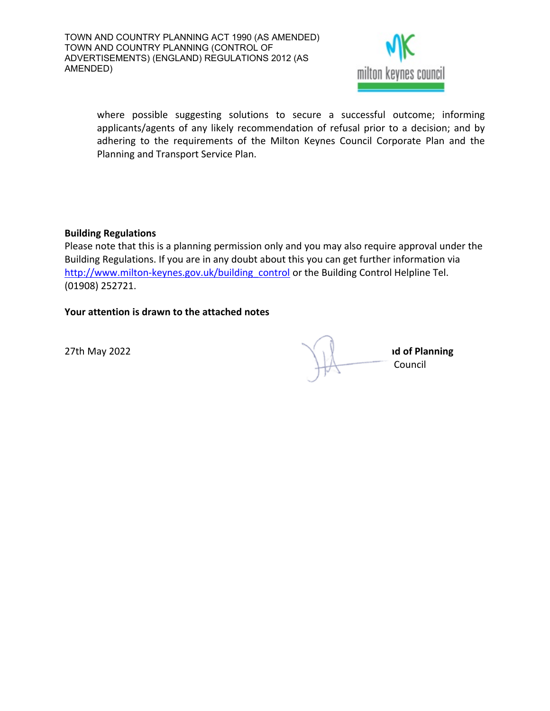

where possible suggesting solutions to secure a successful outcome; informing applicants/agents of any likely recommendation of refusal prior to a decision; and by adhering to the requirements of the Milton Keynes Council Corporate Plan and the Planning and Transport Service Plan.

#### **Building Regulations**

Please note that this is a planning permission only and you may also require approval under the Building Regulations. If you are in any doubt about this you can get further information via http://www.milton-keynes.gov.uk/building control or the Building Control Helpline Tel. (01908) 252721.

## **Your attention is drawn to the attached notes**

**27th May 2022 Jonathana <b>MRTPI MAGNET A MRTPI ad of Planning** Council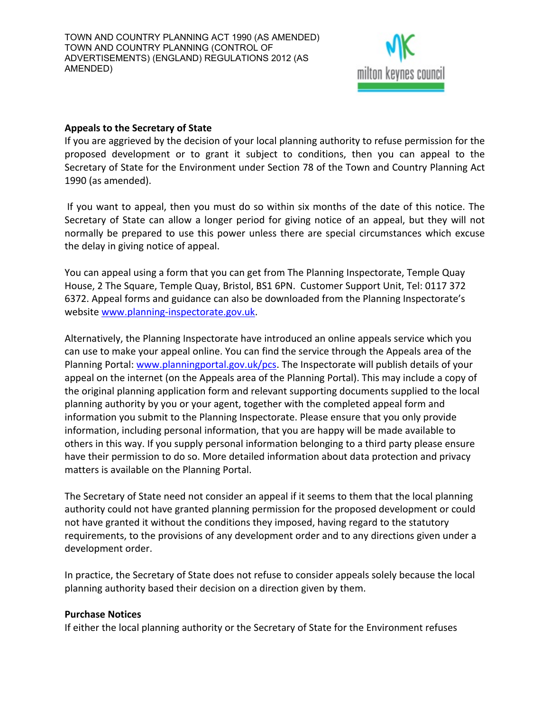

## **Appeals to the Secretary of State**

If you are aggrieved by the decision of your local planning authority to refuse permission for the proposed development or to grant it subject to conditions, then you can appeal to the Secretary of State for the Environment under Section 78 of the Town and Country Planning Act 1990 (as amended).

If you want to appeal, then you must do so within six months of the date of this notice. The Secretary of State can allow a longer period for giving notice of an appeal, but they will not normally be prepared to use this power unless there are special circumstances which excuse the delay in giving notice of appeal.

You can appeal using a form that you can get from The Planning Inspectorate, Temple Quay House, 2 The Square, Temple Quay, Bristol, BS1 6PN. Customer Support Unit, Tel: 0117 372 6372. Appeal forms and guidance can also be downloaded from the Planning Inspectorate's website [www.planning-inspectorate.gov.uk.](http://www.planning-inspectorate.gov.uk/)

Alternatively, the Planning Inspectorate have introduced an online appeals service which you can use to make your appeal online. You can find the service through the Appeals area of the Planning Portal: [www.planningportal.gov.uk/pcs](http://www.planningportal.gov.uk/pcs). The Inspectorate will publish details of your appeal on the internet (on the Appeals area of the Planning Portal). This may include a copy of the original planning application form and relevant supporting documents supplied to the local planning authority by you or your agent, together with the completed appeal form and information you submit to the Planning Inspectorate. Please ensure that you only provide information, including personal information, that you are happy will be made available to others in this way. If you supply personal information belonging to a third party please ensure have their permission to do so. More detailed information about data protection and privacy matters is available on the Planning Portal.

The Secretary of State need not consider an appeal if it seems to them that the local planning authority could not have granted planning permission for the proposed development or could not have granted it without the conditions they imposed, having regard to the statutory requirements, to the provisions of any development order and to any directions given under a development order.

In practice, the Secretary of State does not refuse to consider appeals solely because the local planning authority based their decision on a direction given by them.

#### **Purchase Notices**

If either the local planning authority or the Secretary of State for the Environment refuses